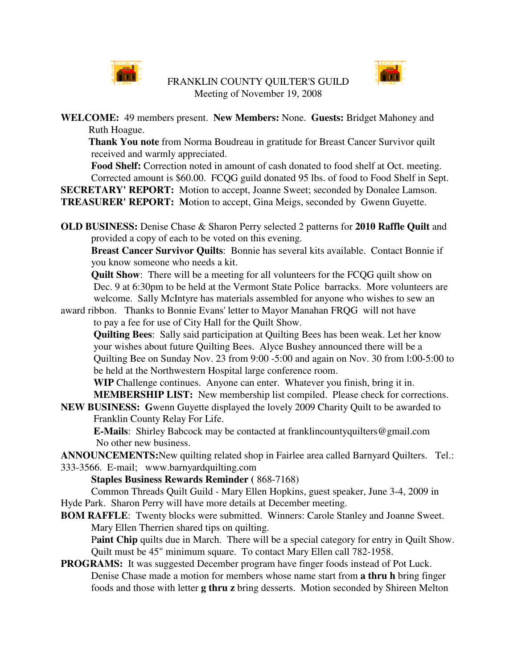

FRANKLIN COUNTY QUILTER'S GUILD Meeting of November 19, 2008



**WELCOME:** 49 members present. **New Members:** None. **Guests:** Bridget Mahoney and Ruth Hoague.

**Thank You note** from Norma Boudreau in gratitude for Breast Cancer Survivor quilt received and warmly appreciated.

**Food Shelf:** Correction noted in amount of cash donated to food shelf at Oct. meeting. Corrected amount is \$60.00. FCQG guild donated 95 lbs. of food to Food Shelf in Sept. **SECRETARY' REPORT:** Motion to accept, Joanne Sweet; seconded by Donalee Lamson.

**TREASURER' REPORT: M**otion to accept, Gina Meigs, seconded by Gwenn Guyette.

**OLD BUSINESS:** Denise Chase & Sharon Perry selected 2 patterns for **2010 Raffle Quilt** and provided a copy of each to be voted on this evening.

**Breast Cancer Survivor Quilts**: Bonnie has several kits available. Contact Bonnie if you know someone who needs a kit.

**Quilt Show**: There will be a meeting for all volunteers for the FCQG quilt show on Dec. 9 at 6:30pm to be held at the Vermont State Police barracks. More volunteers are welcome. Sally McIntyre has materials assembled for anyone who wishes to sew an

award ribbon. Thanks to Bonnie Evans' letter to Mayor Manahan FRQG will not have to pay a fee for use of City Hall for the Quilt Show.

**Quilting Bees**: Sally said participation at Quilting Bees has been weak. Let her know your wishes about future Quilting Bees. Alyce Bushey announced there will be a Quilting Bee on Sunday Nov. 23 from 9:00 -5:00 and again on Nov. 30 from l:00-5:00 to be held at the Northwestern Hospital large conference room.

**WIP** Challenge continues. Anyone can enter. Whatever you finish, bring it in. **MEMBERSHIP LIST:** New membership list compiled. Please check for corrections.

**NEW BUSINESS: G**wenn Guyette displayed the lovely 2009 Charity Quilt to be awarded to Franklin County Relay For Life.

**E-Mails**: Shirley Babcock may be contacted at franklincountyquilters@gmail.com No other new business.

**ANNOUNCEMENTS:**New quilting related shop in Fairlee area called Barnyard Quilters. Tel.: 333-3566. E-mail; www.barnyardquilting.com

**Staples Business Rewards Reminder (** 868-7168)

Common Threads Quilt Guild - Mary Ellen Hopkins, guest speaker, June 3-4, 2009 in Hyde Park. Sharon Perry will have more details at December meeting.

**BOM RAFFLE**: Twenty blocks were submitted. Winners: Carole Stanley and Joanne Sweet. Mary Ellen Therrien shared tips on quilting.

P**aint Chip** quilts due in March. There will be a special category for entry in Quilt Show. Quilt must be 45" minimum square. To contact Mary Ellen call 782-1958.

## **PROGRAMS:** It was suggested December program have finger foods instead of Pot Luck. Denise Chase made a motion for members whose name start from **a thru h** bring finger foods and those with letter **g thru z** bring desserts. Motion seconded by Shireen Melton